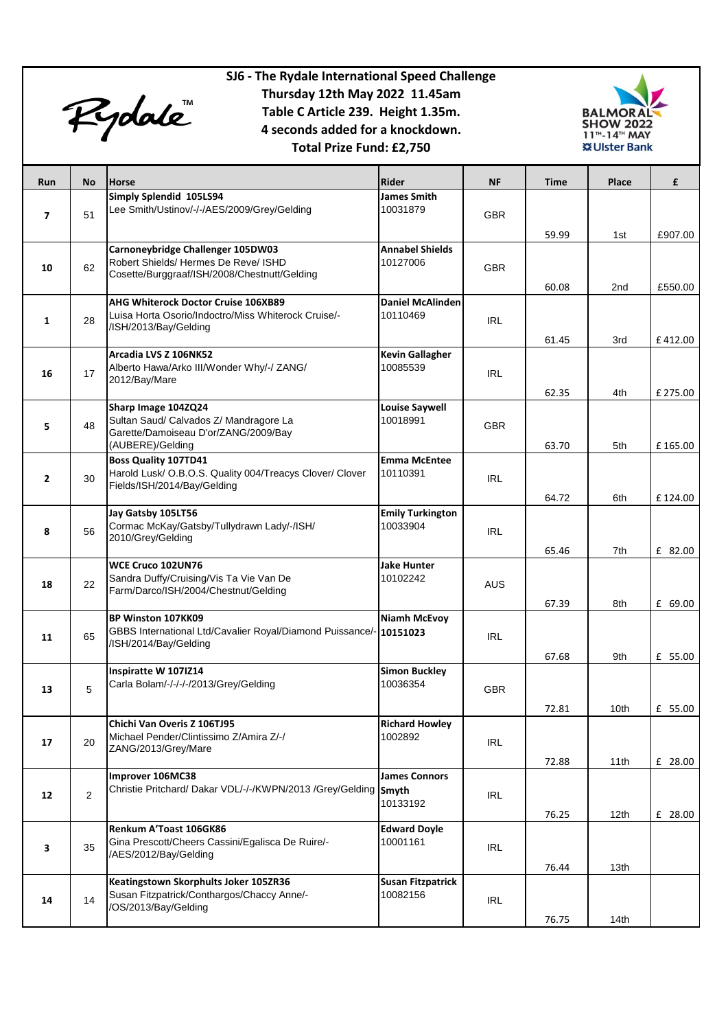

## **SJ6 - The Rydale International Speed Challenge Thursday 12th May 2022 11.45am Table C Article 239. Height 1.35m. 4 seconds added for a knockdown. Total Prize Fund: £2,750**



| Run            | No | Horse                                                                                   | <b>Rider</b>             | <b>NF</b>  | <b>Time</b> | Place            | £        |
|----------------|----|-----------------------------------------------------------------------------------------|--------------------------|------------|-------------|------------------|----------|
|                |    | Simply Splendid 105LS94                                                                 | <b>James Smith</b>       |            |             |                  |          |
| 7              | 51 | Lee Smith/Ustinov/-/-/AES/2009/Grey/Gelding                                             | 10031879                 | <b>GBR</b> |             |                  |          |
|                |    |                                                                                         |                          |            | 59.99       | 1st              | £907.00  |
|                |    | Carnoneybridge Challenger 105DW03                                                       | <b>Annabel Shields</b>   |            |             |                  |          |
| 10             | 62 | Robert Shields/ Hermes De Reve/ ISHD<br>Cosette/Burggraaf/ISH/2008/Chestnutt/Gelding    | 10127006                 | <b>GBR</b> |             |                  |          |
|                |    |                                                                                         |                          |            | 60.08       | 2nd              | £550.00  |
|                |    | AHG Whiterock Doctor Cruise 106XB89                                                     | <b>Daniel McAlinden</b>  |            |             |                  |          |
| 1              | 28 | Luisa Horta Osorio/Indoctro/Miss Whiterock Cruise/-<br>/ISH/2013/Bay/Gelding            | 10110469                 | <b>IRL</b> |             |                  |          |
|                |    |                                                                                         |                          |            | 61.45       | 3rd              | £412.00  |
|                |    | Arcadia LVS Z 106NK52                                                                   | <b>Kevin Gallagher</b>   |            |             |                  |          |
| 16             | 17 | Alberto Hawa/Arko III/Wonder Why/-/ ZANG/<br>2012/Bay/Mare                              | 10085539                 | <b>IRL</b> |             |                  |          |
|                |    |                                                                                         |                          |            | 62.35       | 4th              | £ 275.00 |
|                |    | Sharp Image 104ZQ24                                                                     | <b>Louise Saywell</b>    |            |             |                  |          |
| 5              | 48 | Sultan Saud/ Calvados Z/ Mandragore La<br>Garette/Damoiseau D'or/ZANG/2009/Bay          | 10018991                 | <b>GBR</b> |             |                  |          |
|                |    | (AUBERE)/Gelding                                                                        |                          |            | 63.70       | 5th              | £165.00  |
|                |    | <b>Boss Quality 107TD41</b>                                                             | <b>Emma McEntee</b>      |            |             |                  |          |
| $\overline{2}$ | 30 | Harold Lusk/ O.B.O.S. Quality 004/Treacys Clover/ Clover<br>Fields/ISH/2014/Bay/Gelding | 10110391                 | <b>IRL</b> |             |                  |          |
|                |    |                                                                                         |                          |            | 64.72       | 6th              | £124.00  |
|                |    | Jay Gatsby 105LT56                                                                      | <b>Emily Turkington</b>  |            |             |                  |          |
| 8              | 56 | Cormac McKay/Gatsby/Tullydrawn Lady/-/ISH/<br>2010/Grey/Gelding                         | 10033904                 | <b>IRL</b> |             |                  |          |
|                |    |                                                                                         |                          |            | 65.46       | 7th              | £ 82.00  |
|                |    | WCE Cruco 102UN76                                                                       | Jake Hunter              |            |             |                  |          |
| 18             | 22 | Sandra Duffy/Cruising/Vis Ta Vie Van De<br>Farm/Darco/ISH/2004/Chestnut/Gelding         | 10102242                 | <b>AUS</b> |             |                  |          |
|                |    |                                                                                         |                          |            | 67.39       | 8th              | £ 69.00  |
|                |    | BP Winston 107KK09                                                                      | <b>Niamh McEvoy</b>      |            |             |                  |          |
| 11             | 65 | GBBS International Ltd/Cavalier Royal/Diamond Puissance/-<br>/ISH/2014/Bay/Gelding      | 10151023                 | <b>IRL</b> |             |                  |          |
|                |    |                                                                                         |                          |            | 67.68       | 9th              | £ 55.00  |
|                |    | Inspiratte W 107IZ14                                                                    | <b>Simon Buckley</b>     |            |             |                  |          |
| 13             | 5  | Carla Bolam/-/-/-/-/2013/Grey/Gelding                                                   | 10036354                 | <b>GBR</b> |             |                  |          |
|                |    |                                                                                         |                          |            | 72.81       | 10th             | £ 55.00  |
|                |    | Chichi Van Overis Z 106TJ95                                                             | <b>Richard Howley</b>    |            |             |                  |          |
| 17             | 20 | Michael Pender/Clintissimo Z/Amira Z/-/<br>ZANG/2013/Grey/Mare                          | 1002892                  | <b>IRL</b> |             |                  |          |
|                |    |                                                                                         |                          |            | 72.88       | 11th             | £ 28.00  |
|                |    | Improver 106MC38                                                                        | <b>James Connors</b>     |            |             |                  |          |
| 12             | 2  | Christie Pritchard/ Dakar VDL/-/-/KWPN/2013 /Grey/Gelding Smyth                         | 10133192                 | <b>IRL</b> |             |                  |          |
|                |    |                                                                                         |                          |            | 76.25       | 12 <sub>th</sub> | £ 28.00  |
|                |    | Renkum A'Toast 106GK86                                                                  | <b>Edward Doyle</b>      |            |             |                  |          |
| 3              | 35 | Gina Prescott/Cheers Cassini/Egalisca De Ruire/-<br>/AES/2012/Bay/Gelding               | 10001161                 | <b>IRL</b> |             |                  |          |
|                |    |                                                                                         |                          |            | 76.44       | 13th             |          |
|                |    | Keatingstown Skorphults Joker 105ZR36                                                   | <b>Susan Fitzpatrick</b> |            |             |                  |          |
| 14             | 14 | Susan Fitzpatrick/Conthargos/Chaccy Anne/-<br>/OS/2013/Bay/Gelding                      | 10082156                 | <b>IRL</b> |             |                  |          |
|                |    |                                                                                         |                          |            | 76.75       | 14th             |          |